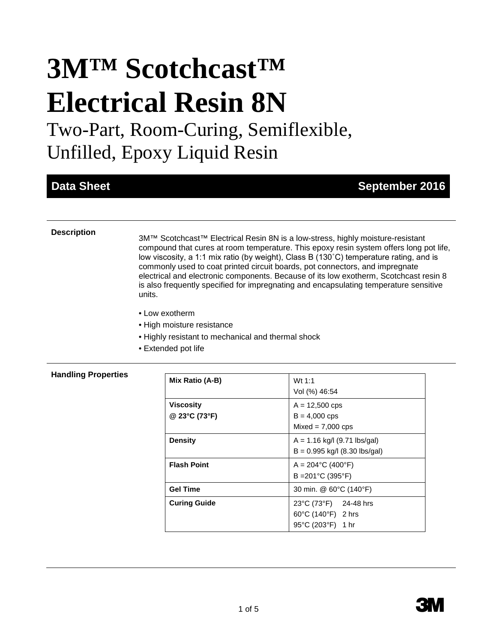# **3M™ Scotchcast™ Electrical Resin 8N**

Two-Part, Room-Curing, Semiflexible, Unfilled, Epoxy Liquid Resin

## **Data Sheet September 2016**

**Description** 3M<sup>™</sup> Scotchcast<sup>™</sup> Electrical Resin 8N is a low-stress, highly moisture-resistant compound that cures at room temperature. This epoxy resin system offers long pot life, low viscosity, a 1:1 mix ratio (by weight), Class B (130˚C) temperature rating, and is commonly used to coat printed circuit boards, pot connectors, and impregnate electrical and electronic components. Because of its low exotherm, Scotchcast resin 8 is also frequently specified for impregnating and encapsulating temperature sensitive units.

- Low exotherm
- High moisture resistance
- Highly resistant to mechanical and thermal shock
- Extended pot life

#### **Handling Properties**

| Mix Ratio (A-B)                   | Wt $1:1$<br>Vol (%) 46:54                                         |
|-----------------------------------|-------------------------------------------------------------------|
| <b>Viscosity</b><br>@ 23°C (73°F) | $A = 12,500$ cps<br>$B = 4,000$ cps<br>$Mixed = 7,000$ cps        |
| <b>Density</b>                    | $A = 1.16$ kg/l (9.71 lbs/gal)<br>$B = 0.995$ kg/l (8.30 lbs/gal) |
| <b>Flash Point</b>                | $A = 204$ °C (400°F)<br>$B = 201^{\circ}C(395^{\circ}F)$          |
| <b>Gel Time</b>                   | 30 min. @ 60°C (140°F)                                            |
| <b>Curing Guide</b>               | 23°C (73°F) 24-48 hrs<br>60°C (140°F) 2 hrs<br>95°C (203°F) 1 hr  |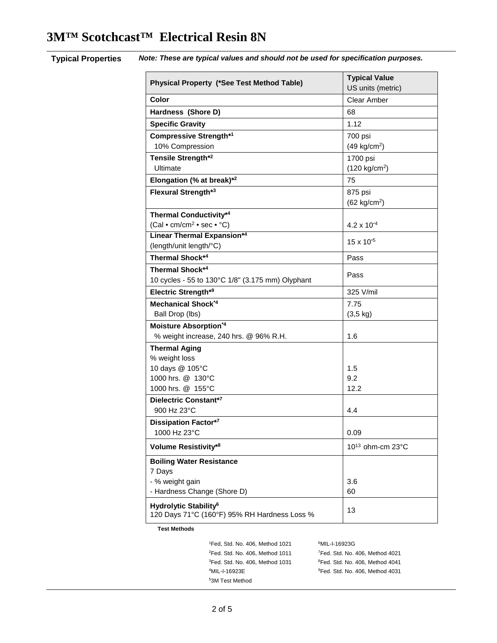| Physical Property (*See Test Method Table)                                        | <b>Typical Value</b><br>US units (metric) |
|-----------------------------------------------------------------------------------|-------------------------------------------|
| <b>Color</b>                                                                      | Clear Amber                               |
| Hardness (Shore D)                                                                | 68                                        |
| <b>Specific Gravity</b>                                                           | 1.12                                      |
| <b>Compressive Strength*1</b>                                                     | 700 psi                                   |
| 10% Compression                                                                   | $(49 \text{ kg/cm}^2)$                    |
| Tensile Strength*2                                                                | 1700 psi                                  |
| Ultimate                                                                          | $(120 \text{ kg/cm}^2)$                   |
| Elongation (% at break)*2                                                         | 75                                        |
| Flexural Strength*3                                                               | 875 psi                                   |
|                                                                                   | $(62 \text{ kg/cm}^2)$                    |
| <b>Thermal Conductivity*4</b>                                                     |                                           |
| (Cal • cm/cm <sup>2</sup> • sec • °C)                                             | $4.2 \times 10^{-4}$                      |
| <b>Linear Thermal Expansion*4</b>                                                 | $15 \times 10^{-5}$                       |
| (length/unit length/°C)                                                           |                                           |
| Thermal Shock*4                                                                   | Pass                                      |
| <b>Thermal Shock*4</b>                                                            | Pass                                      |
| 10 cycles - 55 to 130°C 1/8" (3.175 mm) Olyphant                                  |                                           |
| Electric Strength*9                                                               | 325 V/mil                                 |
| Mechanical Shock*4                                                                | 7.75                                      |
| Ball Drop (lbs)                                                                   | $(3, 5 \text{ kg})$                       |
| Moisture Absorption*4                                                             |                                           |
| % weight increase, 240 hrs. @ 96% R.H.                                            | 1.6                                       |
| <b>Thermal Aging</b>                                                              |                                           |
| % weight loss                                                                     |                                           |
| 10 days @ 105°C                                                                   | 1.5                                       |
| 1000 hrs. @ 130°C<br>1000 hrs. @ 155°C                                            | 9.2<br>12.2                               |
| Dielectric Constant*7                                                             |                                           |
| 900 Hz 23°C                                                                       | 4.4                                       |
| <b>Dissipation Factor*7</b>                                                       |                                           |
| 1000 Hz 23°C                                                                      | 0.09                                      |
| <b>Volume Resistivity*8</b>                                                       | 10 <sup>13</sup> ohm-cm 23°C              |
| <b>Boiling Water Resistance</b>                                                   |                                           |
| 7 Days                                                                            |                                           |
| - % weight gain                                                                   | 3.6                                       |
| - Hardness Change (Shore D)                                                       | 60                                        |
| Hydrolytic Stability <sup>6</sup><br>120 Days 71°C (160°F) 95% RH Hardness Loss % | 13                                        |

**Typical Properties** *Note: These are typical values and should not be used for specification purposes.*

**Test Methods**

<sup>1</sup>Fed, Std. No. 406, Method 1021  $2$ Fed. Std. No. 406, Method 1011  $7$  ${}^{3}$ Fed. Std. No. 406, Method 1031 4MIL-I-16923E <sup>9</sup> 53M Test Method

MIL-I-16923G Fed. Std. No. 406, Method 4021 Fed. Std. No. 406, Method 4041 <sup>9</sup>Fed. Std. No. 406, Method 4031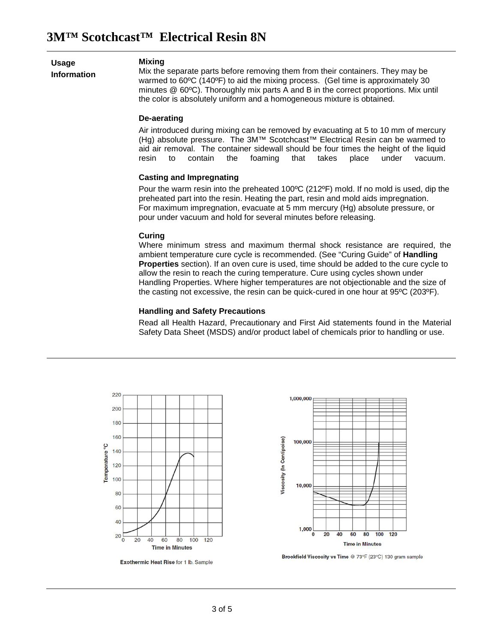**Usage Information**

#### **Mixing**

Mix the separate parts before removing them from their containers. They may be warmed to 60ºC (140ºF) to aid the mixing process. (Gel time is approximately 30 minutes @ 60ºC). Thoroughly mix parts A and B in the correct proportions. Mix until the color is absolutely uniform and a homogeneous mixture is obtained.

#### **De-aerating**

Air introduced during mixing can be removed by evacuating at 5 to 10 mm of mercury (Hg) absolute pressure. The 3M™ Scotchcast™ Electrical Resin can be warmed to aid air removal. The container sidewall should be four times the height of the liquid resin to contain the foaming that takes place under vacuum. resin to contain the foaming that takes place under vacuum.

#### **Casting and Impregnating**

Pour the warm resin into the preheated 100ºC (212ºF) mold. If no mold is used, dip the preheated part into the resin. Heating the part, resin and mold aids impregnation. For maximum impregnation, evacuate at 5 mm mercury (Hg) absolute pressure, or pour under vacuum and hold for several minutes before releasing.

#### **Curing**

Where minimum stress and maximum thermal shock resistance are required, the ambient temperature cure cycle is recommended. (See "Curing Guide" of **Handling Properties** section). If an oven cure is used, time should be added to the cure cycle to allow the resin to reach the curing temperature. Cure using cycles shown under Handling Properties. Where higher temperatures are not objectionable and the size of the casting not excessive, the resin can be quick-cured in one hour at 95ºC (203ºF).

#### **Handling and Safety Precautions**

Read all Health Hazard, Precautionary and First Aid statements found in the Material Safety Data Sheet (MSDS) and/or product label of chemicals prior to handling or use.



Exothermic Heat Rise for 1 lb. Sample



Brookfield Viscosity vs Time @ 73°F (23°C) 130 gram sample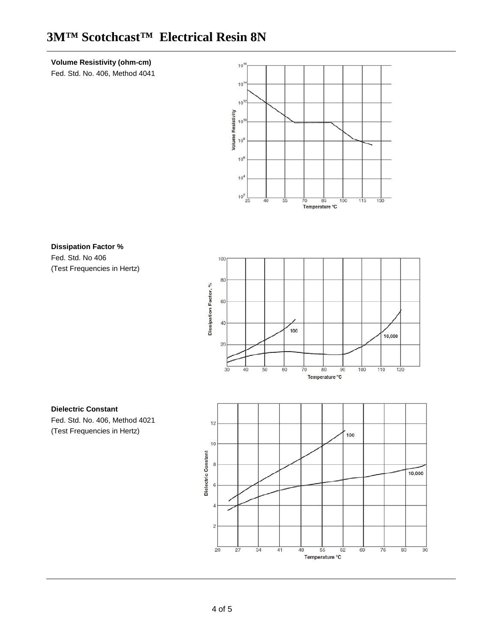# **3M™ Scotchcast™ Electrical Resin 8N**

### **Volume Resistivity (ohm-cm)**

Fed. Std. No. 406, Method 4041



## **Dissipation Factor %**

Fed. Std. No 406 (Test Frequencies in Hertz)



# **Dielectric Constant**

Fed. Std. No. 406, Method 4021 (Test Frequencies in Hertz)